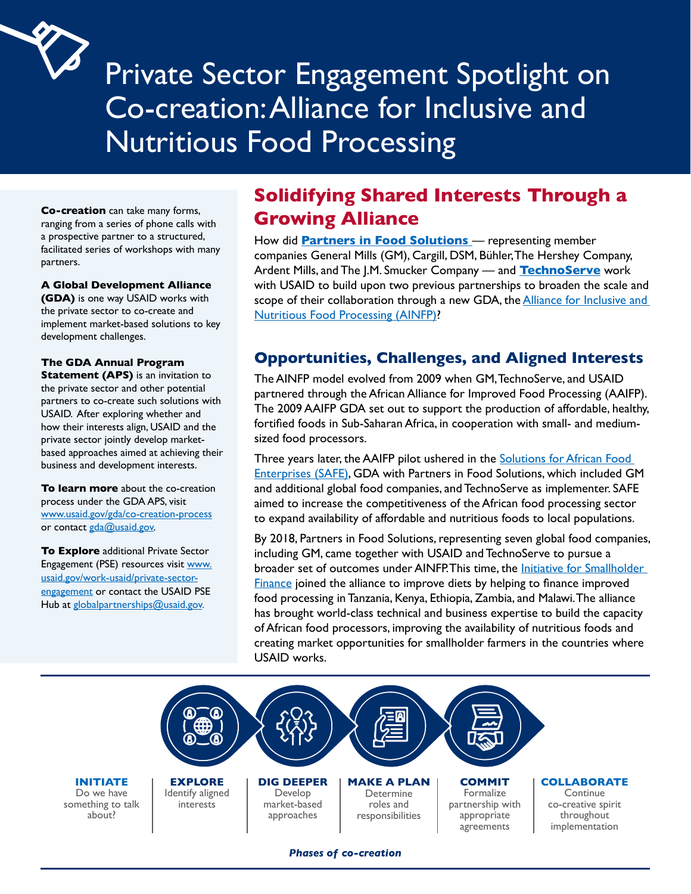# Private Sector Engagement Spotlight on Co-creation:Alliance for Inclusive and Nutritious Food Processing

**Co-creation** can take many forms, ranging from a series of phone calls with a prospective partner to a structured, facilitated series of workshops with many partners.

#### **A Global Development Alliance**

 development challenges. **(GDA)** is one way USAID works with the private sector to co-create and implement market-based solutions to key

#### **The GDA Annual Program**

 USAID. After exploring whether and **Statement (APS)** is an invitation to the private sector and other potential partners to co-create such solutions with how their interests align, USAID and the private sector jointly develop marketbased approaches aimed at achieving their business and development interests.

[www.usaid.gov/gda/co-creation-process](http://www.usaid.gov/gda/co-creation-process)<br>or contact <u>gda@usaid.gov</u>. **To learn more** about the co-creation process under the GDA APS, visit

**To Explore** additional Private Sector Engagement (PSE) resources visit www. [usaid.gov/work-usaid/private-sector](http://www.usaid.gov/work-usaid/private-sector-engagement )[engagement](http://www.usaid.gov/work-usaid/private-sector-engagement ) or contact the USAID PSE Hub at [globalpartnerships@usaid.gov.](http://globalpartnerships@usaid.gov.)

## **Solidifying Shared Interests Through a Growing Alliance**

How did **[Partners in Food Solutions](https://www.partnersinfoodsolutions.com.)** — representing member companies General Mills (GM), Cargill, DSM, Bühler,The Hershey Company, Ardent Mills, and The J.M. Smucker Company — and **[TechnoServe](https://www.technoserve.org)** work with USAID to build upon two previous partnerships to broaden the scale and scope of their collaboration through a new GDA, the [Alliance for Inclusive and](https://www.ainfp.org/about-us/)  [Nutritious Food Processing \(AINFP\)](https://www.ainfp.org/about-us/)?

#### **Opportunities, Challenges, and Aligned Interests**

The AINFP model evolved from 2009 when GM,TechnoServe, and USAID partnered through the African Alliance for Improved Food Processing (AAIFP). The 2009 AAIFP GDA set out to support the production of affordable, healthy, fortified foods in Sub-Saharan Africa, in cooperation with small- and mediumsized food processors.

Three years later, the AAIFP pilot ushered in the Solutions for African Food [Enterprises \(SAFE\),](https://www.technoserve.org/wp-content/uploads/2018/04/solutions-for-african-food-enterprises-final-report.pdf) GDA with Partners in Food Solutions, which included GM and additional global food companies, and TechnoServe as implementer. SAFE aimed to increase the competitiveness of the African food processing sector to expand availability of affordable and nutritious foods to local populations.

By 2018, Partners in Food Solutions, representing seven global food companies, including GM, came together with USAID and TechnoServe to pursue a broader set of outcomes under AINFP.This time, the [Initiative for Smallholder](https://isfadvisors.org)  [Finance](https://isfadvisors.org) joined the alliance to improve diets by helping to finance improved food processing in Tanzania, Kenya, Ethiopia, Zambia, and Malawi.The alliance has brought world-class technical and business expertise to build the capacity of African food processors, improving the availability of nutritious foods and creating market opportunities for smallholder farmers in the countries where USAID works.